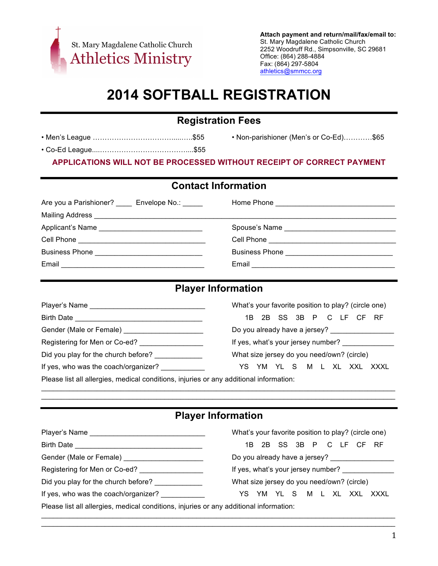

**Attach payment and return/mail/fax/email to:** St. Mary Magdalene Catholic Church 2252 Woodruff Rd., Simpsonville, SC 29681 Office: (864) 288-4884 Fax: (864) 297-5804 athletics@smmcc.org

# **2014 SOFTBALL REGISTRATION**

## **Registration Fees**

|--|

• Co-Ed League....………………………………....\$55

• Non-parishioner (Men's or Co-Ed)…………\$65

#### **APPLICATIONS WILL NOT BE PROCESSED WITHOUT RECEIPT OF CORRECT PAYMENT**

#### **Contact Information**

| Are you a Parishioner? _____ Envelope No.: _____ |                                            |
|--------------------------------------------------|--------------------------------------------|
|                                                  |                                            |
|                                                  |                                            |
|                                                  |                                            |
|                                                  | Business Phone ___________________________ |
| Email                                            |                                            |

#### **Player Information**

|                                                                                                               | What's your favorite position to play? (circle one) |  |
|---------------------------------------------------------------------------------------------------------------|-----------------------------------------------------|--|
| Birth Date and the state of the state of the state of the state of the state of the state of the state of the | 1B 2B SS 3B P C LF CF RF                            |  |
| Gender (Male or Female) ______________________                                                                | Do you already have a jersey? ________________      |  |
| Registering for Men or Co-ed?                                                                                 | If yes, what's your jersey number?                  |  |
| Did you play for the church before?                                                                           | What size jersey do you need/own? (circle)          |  |
| If yes, who was the coach/organizer?                                                                          | YS YM YLS MLXLXXLXXXL                               |  |
| Please list all allergies, medical conditions, injuries or any additional information:                        |                                                     |  |

**Player Information**

 $\mathcal{L}_\mathcal{L} = \mathcal{L}_\mathcal{L} = \mathcal{L}_\mathcal{L} = \mathcal{L}_\mathcal{L} = \mathcal{L}_\mathcal{L} = \mathcal{L}_\mathcal{L} = \mathcal{L}_\mathcal{L} = \mathcal{L}_\mathcal{L} = \mathcal{L}_\mathcal{L} = \mathcal{L}_\mathcal{L} = \mathcal{L}_\mathcal{L} = \mathcal{L}_\mathcal{L} = \mathcal{L}_\mathcal{L} = \mathcal{L}_\mathcal{L} = \mathcal{L}_\mathcal{L} = \mathcal{L}_\mathcal{L} = \mathcal{L}_\mathcal{L}$  $\mathcal{L}_\mathcal{L} = \mathcal{L}_\mathcal{L} = \mathcal{L}_\mathcal{L} = \mathcal{L}_\mathcal{L} = \mathcal{L}_\mathcal{L} = \mathcal{L}_\mathcal{L} = \mathcal{L}_\mathcal{L} = \mathcal{L}_\mathcal{L} = \mathcal{L}_\mathcal{L} = \mathcal{L}_\mathcal{L} = \mathcal{L}_\mathcal{L} = \mathcal{L}_\mathcal{L} = \mathcal{L}_\mathcal{L} = \mathcal{L}_\mathcal{L} = \mathcal{L}_\mathcal{L} = \mathcal{L}_\mathcal{L} = \mathcal{L}_\mathcal{L}$ 

|                                                                                        | What's your favorite position to play? (circle one) |  |
|----------------------------------------------------------------------------------------|-----------------------------------------------------|--|
| Birth Date <u>New York Birth Date</u>                                                  | 1B 2B SS 3B P C LF CF RF                            |  |
|                                                                                        |                                                     |  |
|                                                                                        | If yes, what's your jersey number?                  |  |
| Did you play for the church before?                                                    | What size jersey do you need/own? (circle)          |  |
| If yes, who was the coach/organizer?                                                   | YS YM YL S M L XL XXL XXXL                          |  |
| Please list all allergies, medical conditions, injuries or any additional information: |                                                     |  |

 $\mathcal{L}_\mathcal{L} = \mathcal{L}_\mathcal{L} = \mathcal{L}_\mathcal{L} = \mathcal{L}_\mathcal{L} = \mathcal{L}_\mathcal{L} = \mathcal{L}_\mathcal{L} = \mathcal{L}_\mathcal{L} = \mathcal{L}_\mathcal{L} = \mathcal{L}_\mathcal{L} = \mathcal{L}_\mathcal{L} = \mathcal{L}_\mathcal{L} = \mathcal{L}_\mathcal{L} = \mathcal{L}_\mathcal{L} = \mathcal{L}_\mathcal{L} = \mathcal{L}_\mathcal{L} = \mathcal{L}_\mathcal{L} = \mathcal{L}_\mathcal{L}$